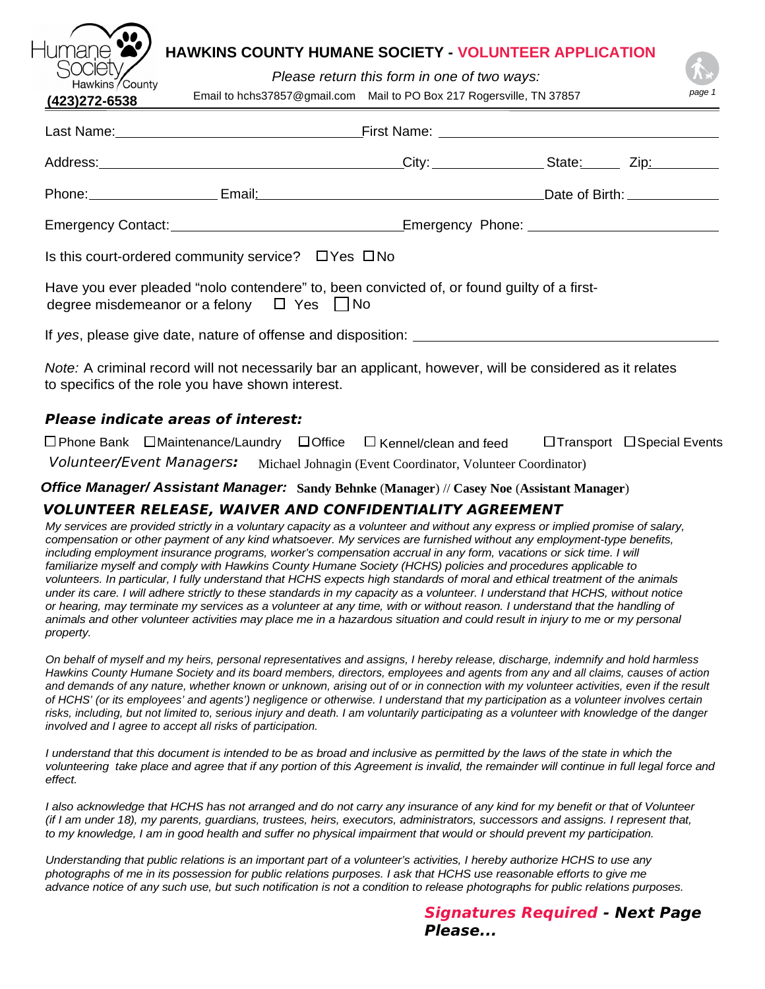# **HAWKINS COUNTY HUMANE SOCIETY - VOLUNTEER APPLICATION**

*Please return this form in one of two ways:*

| <b>Hawhits</b> / OUGHTY<br>$(423)$ 272-6538 |                                                               | Email to hchs37857@gmail.com Mail to PO Box 217 Rogersville, TN 37857                                    |  | page 1 |  |  |
|---------------------------------------------|---------------------------------------------------------------|----------------------------------------------------------------------------------------------------------|--|--------|--|--|
|                                             |                                                               |                                                                                                          |  |        |  |  |
|                                             |                                                               |                                                                                                          |  |        |  |  |
|                                             |                                                               |                                                                                                          |  |        |  |  |
|                                             |                                                               |                                                                                                          |  |        |  |  |
|                                             | Is this court-ordered community service? $\Box$ Yes $\Box$ No |                                                                                                          |  |        |  |  |
|                                             | degree misdemeanor or a felony $\Box$ Yes $\Box$ No           | Have you ever pleaded "nolo contendere" to, been convicted of, or found guilty of a first-               |  |        |  |  |
|                                             |                                                               |                                                                                                          |  |        |  |  |
|                                             | to specifics of the role you have shown interest.             | Note: A criminal record will not necessarily bar an applicant, however, will be considered as it relates |  |        |  |  |
| Plaasa indicata araas of intarast:          |                                                               |                                                                                                          |  |        |  |  |

### **Please indicate areas of interest:**

|                           |  | $\square$ Phone Bank $\square$ Maintenance/Laundry $\square$ Office $\square$ Kennel/clean and feed | □ Transport □ Special Events |
|---------------------------|--|-----------------------------------------------------------------------------------------------------|------------------------------|
| Volunteer/Event Managers: |  | Michael Johnagin (Event Coordinator, Volunteer Coordinator)                                         |                              |

*Office Manager/ Assistant Manager:* **Sandy Behnke** (**Manager**) // **Casey Noe** (**Assistant Manager**)

## **VOLUNTEER RELEASE, WAIVER AND CONFIDENTIALITY AGREEMENT**

*My services are provided strictly in a voluntary capacity as a volunteer and without any express or implied promise of salary, compensation or other payment of any kind whatsoever. My services are furnished without any employment-type benefits, including employment insurance programs, worker's compensation accrual in any form, vacations or sick time. I will familiarize myself and comply with Hawkins County Humane Society (HCHS) policies and procedures applicable to volunteers. In particular, I fully understand that HCHS expects high standards of moral and ethical treatment of the animals under its care. I will adhere strictly to these standards in my capacity as a volunteer. I understand that HCHS, without notice or hearing, may terminate my services as a volunteer at any time, with or without reason. I understand that the handling of animals and other volunteer activities may place me in a hazardous situation and could result in injury to me or my personal property.*

*On behalf of myself and my heirs, personal representatives and assigns, I hereby release, discharge, indemnify and hold harmless Hawkins County Humane Society and its board members, directors, employees and agents from any and all claims, causes of action and demands of any nature, whether known or unknown, arising out of or in connection with my volunteer activities, even if the result of HCHS' (or its employees' and agents') negligence or otherwise. I understand that my participation as a volunteer involves certain risks, including, but not limited to, serious injury and death. I am voluntarily participating as a volunteer with knowledge of the danger involved and I agree to accept all risks of participation.*

*I* understand that this document is intended to be as broad and inclusive as permitted by the laws of the state in which the *volunteering take place and agree that if any portion of this Agreement is invalid, the remainder will continue in full legal force and effect.*

*I also acknowledge that HCHS has not arranged and do not carry any insurance of any kind for my benefit or that of Volunteer (if I am under 18), my parents, guardians, trustees, heirs, executors, administrators, successors and assigns. I represent that, to my knowledge, I am in good health and suffer no physical impairment that would or should prevent my participation.*

*Understanding that public relations is an important part of a volunteer's activities, I hereby authorize HCHS to use any photographs of me in its possession for public relations purposes. I ask that HCHS use reasonable efforts to give me advance notice of any such use, but such notification is not a condition to release photographs for public relations purposes.*

> **Signatures Required - Next Page Please...**